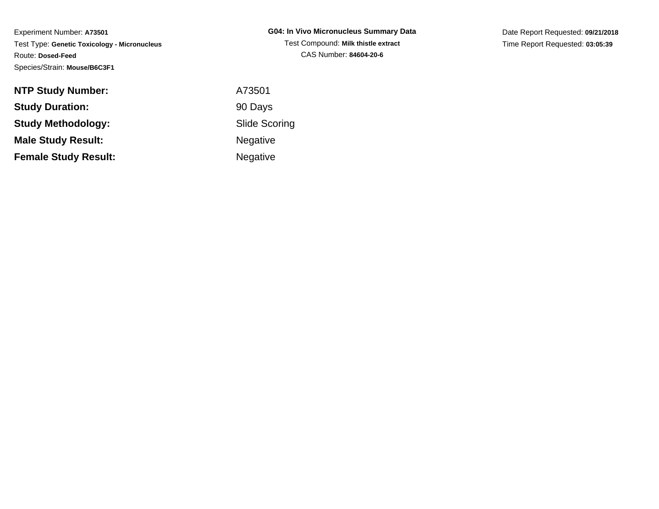| G04: In Vivo Micronucleus Summary Data |
|----------------------------------------|
| Test Compound: Milk thistle extract    |
| CAS Number: 84604-20-6                 |

Date Report Requested: **09/21/2018**Time Report Requested: **03:05:39**

| <b>NTP Study Number:</b>    | A73501    |
|-----------------------------|-----------|
| <b>Study Duration:</b>      | 90 Days   |
| <b>Study Methodology:</b>   | Slide Sco |
| <b>Male Study Result:</b>   | Negative  |
| <b>Female Study Result:</b> | Negative  |

Scoring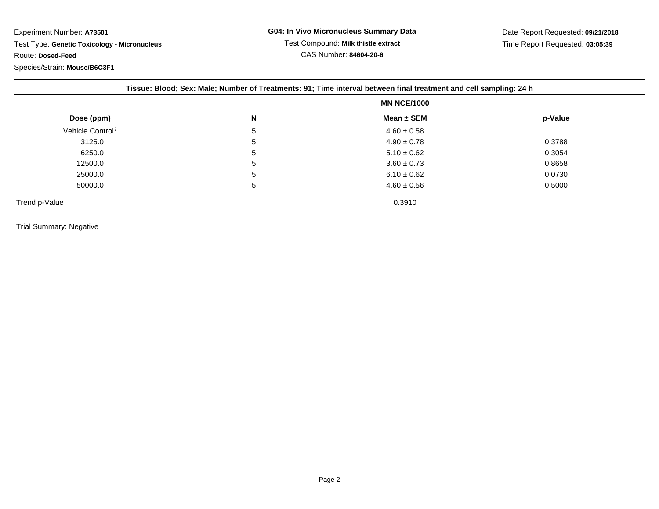|                              |   | <b>MN NCE/1000</b> |         |  |
|------------------------------|---|--------------------|---------|--|
| Dose (ppm)                   | N | Mean $\pm$ SEM     | p-Value |  |
| Vehicle Control <sup>1</sup> | 5 | $4.60 \pm 0.58$    |         |  |
| 3125.0                       | 5 | $4.90 \pm 0.78$    | 0.3788  |  |
| 6250.0                       | 5 | $5.10 \pm 0.62$    | 0.3054  |  |
| 12500.0                      | 5 | $3.60 \pm 0.73$    | 0.8658  |  |
| 25000.0                      | 5 | $6.10 \pm 0.62$    | 0.0730  |  |
| 50000.0                      | 5 | $4.60 \pm 0.56$    | 0.5000  |  |
| Trend p-Value                |   | 0.3910             |         |  |
| Trial Summary: Negative      |   |                    |         |  |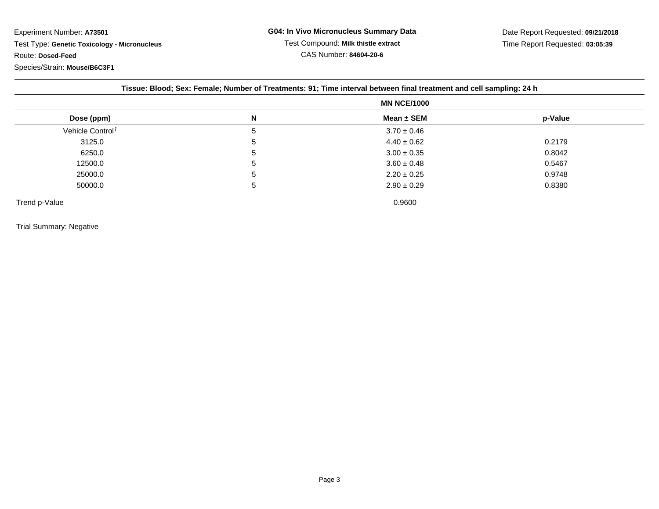|                                |   | Tissue: Blood; Sex: Female; Number of Treatments: 91; Time interval between final treatment and cell sampling: 24 h<br><b>MN NCE/1000</b> |         |  |
|--------------------------------|---|-------------------------------------------------------------------------------------------------------------------------------------------|---------|--|
|                                |   |                                                                                                                                           |         |  |
| Dose (ppm)                     | N | Mean $\pm$ SEM                                                                                                                            | p-Value |  |
| Vehicle Control <sup>1</sup>   | 5 | $3.70 \pm 0.46$                                                                                                                           |         |  |
| 3125.0                         | 5 | $4.40 \pm 0.62$                                                                                                                           | 0.2179  |  |
| 6250.0                         | 5 | $3.00 \pm 0.35$                                                                                                                           | 0.8042  |  |
| 12500.0                        | 5 | $3.60 \pm 0.48$                                                                                                                           | 0.5467  |  |
| 25000.0                        | 5 | $2.20 \pm 0.25$                                                                                                                           | 0.9748  |  |
| 50000.0                        | 5 | $2.90 \pm 0.29$                                                                                                                           | 0.8380  |  |
| Trend p-Value                  |   | 0.9600                                                                                                                                    |         |  |
| <b>Trial Summary: Negative</b> |   |                                                                                                                                           |         |  |